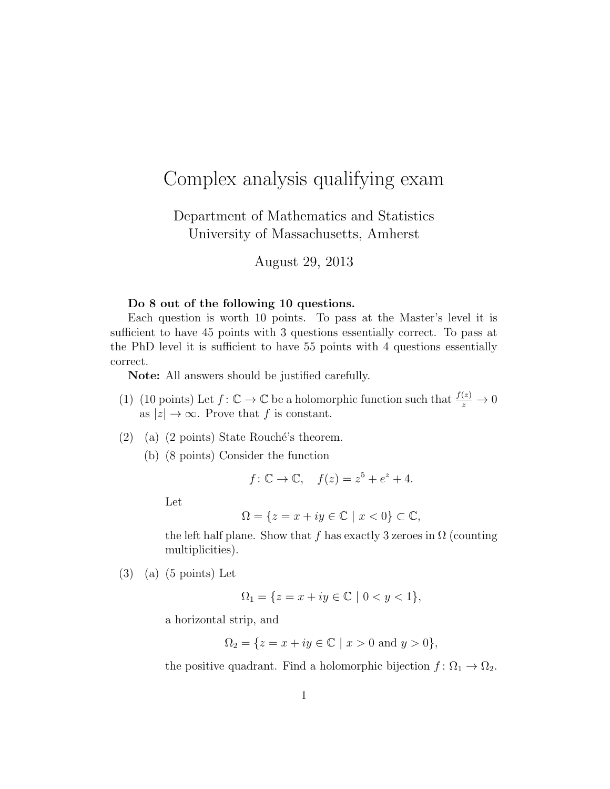## Complex analysis qualifying exam

Department of Mathematics and Statistics University of Massachusetts, Amherst

August 29, 2013

## Do 8 out of the following 10 questions.

Each question is worth 10 points. To pass at the Master's level it is sufficient to have 45 points with 3 questions essentially correct. To pass at the PhD level it is sufficient to have 55 points with 4 questions essentially correct.

Note: All answers should be justified carefully.

- (1) (10 points) Let  $f: \mathbb{C} \to \mathbb{C}$  be a holomorphic function such that  $\frac{f(z)}{z} \to 0$ as  $|z| \to \infty$ . Prove that f is constant.
- (2) (a) (2 points) State Rouché's theorem.
	- (b) (8 points) Consider the function

$$
f: \mathbb{C} \to \mathbb{C}, \quad f(z) = z^5 + e^z + 4.
$$

Let

$$
\Omega = \{ z = x + iy \in \mathbb{C} \mid x < 0 \} \subset \mathbb{C},
$$

the left half plane. Show that f has exactly 3 zeroes in  $\Omega$  (counting multiplicities).

(3) (a) (5 points) Let

$$
\Omega_1 = \{ z = x + iy \in \mathbb{C} \mid 0 < y < 1 \},
$$

a horizontal strip, and

$$
\Omega_2 = \{ z = x + iy \in \mathbb{C} \mid x > 0 \text{ and } y > 0 \},\
$$

the positive quadrant. Find a holomorphic bijection  $f: \Omega_1 \to \Omega_2$ .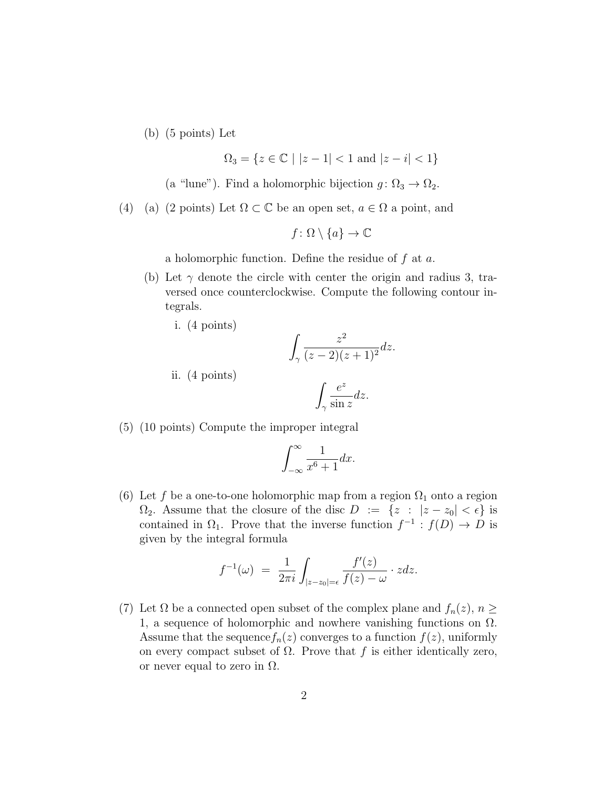(b) (5 points) Let

i. (4 points)

ii. (4 points)

$$
\Omega_3 = \{ z \in \mathbb{C} \mid |z - 1| < 1 \text{ and } |z - i| < 1 \}
$$

- (a "lune"). Find a holomorphic bijection  $g: \Omega_3 \to \Omega_2$ .
- (4) (a) (2 points) Let  $\Omega \subset \mathbb{C}$  be an open set,  $a \in \Omega$  a point, and

$$
f \colon \Omega \setminus \{a\} \to \mathbb{C}
$$

a holomorphic function. Define the residue of  $f$  at  $a$ .

- (b) Let  $\gamma$  denote the circle with center the origin and radius 3, traversed once counterclockwise. Compute the following contour integrals.
	- Z γ  $z^2$  $\frac{z}{(z-2)(z+1)^2}$ dz.

$$
\int_{\gamma} \frac{e^z}{\sin z} dz.
$$

(5) (10 points) Compute the improper integral

$$
\int_{-\infty}^{\infty} \frac{1}{x^6 + 1} dx.
$$

(6) Let f be a one-to-one holomorphic map from a region  $\Omega_1$  onto a region  $\Omega_2$ . Assume that the closure of the disc  $D := \{z : |z - z_0| < \epsilon\}$  is contained in  $\Omega_1$ . Prove that the inverse function  $f^{-1}: f(D) \to D$  is given by the integral formula

$$
f^{-1}(\omega) = \frac{1}{2\pi i} \int_{|z-z_0|=\epsilon} \frac{f'(z)}{f(z) - \omega} \cdot z dz.
$$

(7) Let  $\Omega$  be a connected open subset of the complex plane and  $f_n(z)$ ,  $n \geq$ 1, a sequence of holomorphic and nowhere vanishing functions on  $\Omega$ . Assume that the sequence  $f_n(z)$  converges to a function  $f(z)$ , uniformly on every compact subset of  $\Omega$ . Prove that f is either identically zero, or never equal to zero in  $\Omega$ .